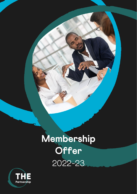# **Membership Offer** 2022-23

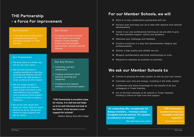## **THE Partnership - a force for improvement**

#### Our Vision

• To support schools to ensure that all children and young people in Tower Hamlets achieve the best possible opportunities, outcomes and life chances

### Our Proposition

- We know there is a better way, but we can't do it alone
- We are laser-focused on creating excellence in learning, teaching and leading, and aim to connect the right people in order to deliver on this mission
- We are single-minded in helping pupils and teachers alike to learn and teach in the most effective way possible and in enabling school leaders to acquire the skills to make a difference
- We do this with people who share our vision, have the same passion as we do, taking bold moves to make progress and see an impact

• To provide school improvement and professional learning services to schools in Tower **Hamlets** 

### Our Key Drivers

- Cultivating trust and collaboration
- Creating excitement about learning, teaching and leadership
- Confidence and capacity building in a school-led system

**"THE Partnership is excellent value for money. It is well led and helps us to be well informed and look to the future. It has become a core support for schools"** 

*Mulberry Stepney Green MCS College*

#### Our Purpose

## **For our Member Schools, we will**

Horizon scan and keep you up to date with regional and national

- Work in a truly collaborative partnership with you
- developments
- $\odot$  Invest in our own professional learning so we are able to give the best possible support, advice and guidance
- Welcome your challenge and feedback
- Conduct ourselves in a way that demonstrates integrity and professionalism
- Deliver a high quality and reliable service
- Respect confidentiality and build relationships on trust
- Respond to requests as promptly as possible

## **We ask our Member Schools to**

Commit to growing the wider system as well as your own school

- 
- Volunteer your time and energy, investing in the wider system
- Collaborate and share knowledge for the benefit of all your colleagues in Tower Hamlets
- Act in the best interests of all schools in Tower Hamlets, building a culture of high trust and support

**"An outstanding offer, exceptionally led. Always innovative….Training is always thoughtful and well planned. The speakers at conference are amazing"** 

*Blue Gate Fields Junior School* 

**"THE Partnership is excellent and has been incredibly useful and supportive"**  *Bowden House School*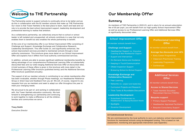

The Partnership exists to support schools to continually strive to be better and we do this in collaboration with the 92 member schools that make up THE Partnership. Our vision is that Tower Hamlets is the best place to learn, teach and lead and our role is to provide the best school improvement support, leadership development and professional learning to realise that ambition.

As a collaborative partnership, we collectively ensure that no school or school leader is left isolated and unsupported; all schools contribute in a way that not only enables them to benefit but also enables the whole partnership to benefit.

At the core of our membership offer is our School Improvement Offer consisting of: Challenge and Support, Knowledge Exchange and Collaborative Research, Leadership Development. This offer builds on, and significantly enhances, the school improvement services provided to maintained schools through a local authority commission. This brochure gives more detail on our School Improvement Offer and explains how it differs from local authority commissioned services.

In addition, schools are able to access significant additional membership benefits by taking advantage of our comprehensive Professional Learning Offer at substantially discounted fees and our wide-ranging Additional Services Offer at discounted rates. A brief summary of these offers is given in this brochure with more detail in the Professional Learning Offer brochure (published termly) and the Additional Services Offer brochure (published annually).

The support of all our member schools in contributing to our whole membership offer has been invaluable, whether through Phase meetings, our Headteacher Reference Group or direct input and feedback from you all. We will, of course, respond to any requests from you as members and seek to adapt our offer throughout the year to meet your changing needs.

> $\checkmark$  Tower Hamlets Education Recruitment Service (THERS)

We are proud to be part of, and working in collaboration with, the Tower Hamlets education community. We look forward to strengthening our partnership and continuing to work together to make a difference to all the children, families and communities we serve.



**Tracy Smith** 

*Executive Director*

## **Our Membership Offer**

### **Summary**

As members of THE Partnership in 2022-23, and in return for an annual subscription fee of £9 per pupil, you will benefit from our high-quality School Improvement Offer as well as access to our Professional Learning Offer and Additional Services Offer at significantly discounted rates.

### **School Improvement Offer**

*All member schools benefit from…* 

#### **Challenge and Support**

- Headteacher Support *inc. Executive Coaching & New Headteacher Support*
- $\checkmark$  Support and Intervention
- On-Demand Advice and Guidance
- $\checkmark$  Keeping in Touch/Communication
- $\checkmark$  Ofsted Inspection Support
- Brokering School-to-School Support

#### **Knowledge Exchange and Collaborative Research**

- $\checkmark$  Peer Learning
- Networks *inc. subject and leadership*
- $\checkmark$  Curriculum Projects and Research
- $\checkmark$  Think Tanks & Roundtable Discussions

#### **Leadership Development**

- Subsidised Conferences *inc. Headteachers' & Deputy/Assistant Heads*
- $\checkmark$  Spotlights
- Governor Development

### **Professional Learning Offer**

*All member schools benefit from…* 

#### **Average fee discounts over 40%**

- $\checkmark$  Early Career Programmes
- $\checkmark$  Classroom Practitioner Training
- $\checkmark$  Leadership Programmes
- $\checkmark$  Conferences

### **Additional Services Offer**

*All member schools benefit from…* 

**Access to Shared Services**

#### **Bespoke support**

- $\checkmark$  Primary Support Packages
- $\checkmark$  Headteacher Appraisal Facilitation
- $\checkmark$  Bespoke Consultancy Support

#### **LA Commissioned Services**

We are commissioned by the local authority to carry out statutory school improvement functions for maintained schools using de-delegated funding. This is based on risk assessment, monitoring and appropriate intervention (see Appendix)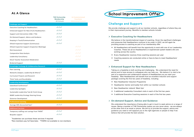### **At A Glance**

|                                                         | <b>THE Partnership</b><br>Membership<br>- All Schools | <b>LA Commissioned</b><br><b>Functions</b><br>- Maintained Schools <sup>1</sup> |
|---------------------------------------------------------|-------------------------------------------------------|---------------------------------------------------------------------------------|
| <b>Challenge and Support</b>                            |                                                       |                                                                                 |
| <b>Executive Coaching for Headteachers</b>              | $\checkmark\checkmark\checkmark$                      |                                                                                 |
| Enhanced Support for New (Y1/2) Headteachers            | $\checkmark\checkmark\checkmark$                      |                                                                                 |
| Support and Intervention (C&S / TIG)                    | $\checkmark\checkmark\checkmark$                      |                                                                                 |
| On-Demand Support, Advice and Guidance                  | $\checkmark\checkmark\checkmark$                      |                                                                                 |
| Keeping in Touch/Communication                          | $\checkmark\checkmark\checkmark$                      |                                                                                 |
| Ofsted Inspection Support (Continuous)                  | $\checkmark\checkmark\checkmark$                      |                                                                                 |
| Ofsted Inspection Support (Inspection Meetings)         |                                                       | $\checkmark\checkmark\checkmark$                                                |
| <b>Risk Assessment</b>                                  |                                                       | $\checkmark\checkmark\checkmark$                                                |
| Comparative Data Analysis                               |                                                       | $\checkmark\checkmark\checkmark$                                                |
| Leadership Consultancy                                  |                                                       | $\checkmark\checkmark\checkmark$                                                |
| KS1/2 Teacher Assessment Moderation                     |                                                       | $\checkmark\checkmark\checkmark$                                                |
| <b>Brokered Support</b>                                 | $\checkmark\checkmark\checkmark$                      |                                                                                 |
| Knowledge Exchange & Collaborative Research             |                                                       |                                                                                 |
| Peer Learning                                           | $\checkmark\checkmark\checkmark$                      |                                                                                 |
| Networks (Subject, Leadership & Others) <sup>2</sup>    | $\checkmark\checkmark\checkmark$                      |                                                                                 |
| Curriculum Projects and Research                        | $\checkmark\checkmark\checkmark$                      |                                                                                 |
| Think Tanks and Roundtables                             | $\checkmark\checkmark\checkmark$                      |                                                                                 |
| <b>Leadership Development</b>                           |                                                       |                                                                                 |
| Subsidised Conferences <sup>2</sup>                     | $\checkmark\checkmark\checkmark$                      |                                                                                 |
| Leadership Spotlights                                   | $\checkmark\checkmark\checkmark$                      |                                                                                 |
| Sustainable Leadership Task & Finish Group              | $\checkmark\checkmark\checkmark$                      |                                                                                 |
| BAME Leadership Strategy Steering Group                 | $\checkmark\checkmark\checkmark$                      |                                                                                 |
| Governor Development                                    | $\checkmark\checkmark\checkmark$                      |                                                                                 |
| <b>Professional Learning</b>                            |                                                       |                                                                                 |
| Average 40% discounted fees <sup>2</sup>                | $\checkmark\checkmark\checkmark$                      |                                                                                 |
| <b>Additional Services</b>                              |                                                       |                                                                                 |
| Temporary staffing cost savings from THERS <sup>3</sup> | $\checkmark$ $\checkmark$ $\checkmark$                |                                                                                 |
| Bespoke support                                         | $\checkmark\checkmark\checkmark$                      |                                                                                 |

- \* All Headteachers will benefit from the opportunity to work with one of our Leadership Coaches. These are all ex-Headteachers or experienced system leaders who are working across the country
- Every Headteacher receives three coaching sessions per year
- Coaching sessions are conducted online or face-to-face to meet Headteachers' needs

1Academies can purchase these services if required

 $2$ Non-members pay full fees/rates  $3$ THERS not available to non-members



### **Challenge and Support**

We provide challenge and support to all our member schools, regardless of where they are in their improvement journey. Benefits to member schools include:

#### **Executive Coaching for Headteachers**

We believe in the transformational impact of coaching. Given the significant challenges and pressures that Headteachers continue to be under in 2022, we will again be providing access to coaching as part of our membership offer.

#### **Enhanced Support for New Headteachers**

Taking on a headship is both exciting and challenging. We understand the need for advice and to have access to colleagues who can help you. We believe it is vital to be part of a supportive and collaborative network of Headteachers as you start your headship. New Headteachers will benefit from an excellent induction and support package covering the first two years of headship, including:

- $\star$  New Headteacher Induction Programme
- $\star$  Headteacher mentor and buddy from within our member schools
- \* New Headteacher network 'Meet Ups'
- $\star$  3 additional Leadership Consultant visits in each of the first two years
- ★ 3 additional Executive Coaching sessions in each of the first two years

#### **On-demand Support, Advice and Guidance**

We understand the importance of being able to get in touch to seek advice on a range of issues. Being a member of THE Partnership means you are never alone - we are always at the other end of an email or phone. We will try to provide the support, advice and guidance you need or will signpost you to the right agencies or people to help if we believe that will provide the best solution.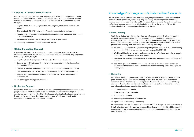$\star$  All member schools are strongly encouraged to play an active role in a Peer Learning

#### **Keeping in Touch/Communication**

- Regular Keep in Touch (KiT) bulletins including DfE, Ofsted and Public Health updates
- \* The fortnightly THEP Bulletin with information about training and events
- Regular THE Partnership Headteacher Meetings including leadership thinking and practical takeaways
- $\star$  Headteacher virtual coffee mornings responsive to your needs
- $\star$  Increasing use of social media and online forums

Our 2021 survey identified that what members most value from us is communication keeping in regular touch and providing opportunities for you to connect and keep in touch with each other. This highly valued member service will continue in 2022-23 through:

- Regular Ofsted Briefings and updates on the Inspection Framework
- $\star$  Summaries of Ofsted research reviews and dissemination of other information published by Ofsted
- Sharing of learning and intelligence from recent member schools' inspections
- On-call responses to queries from schools anticipating an Ofsted inspection
- $\star$  Support with preparation for inspection, including the Ofsted pre-inspection telephone call
- $\star$  On-call support during your inspection

#### **Ofsted Inspection Support**

Drawing on the wealth of experience in our team, including first-hand and recent inspection experience, we will continue to support member schools as they prepare for Ofsted inspections, through:

#### **Brokering Support**

We believe that a school-led system is the best way to improve outcomes for all young people in Tower Hamlets and so, if the need arises, we use our knowledge of all member schools to broker school-to-school support, finding the best partnership for you. If appropriate, we will also draw upon our wide pool of high-quality and vastly experienced associate consultants and networks.

### **Knowledge Exchange and Collaborative Research**

We are committed to promoting collaboration and joint practice development between our member schools particularly where they may be working on similar projects or tackling common challenges. Learning with, and from, each other is a cornerstone of our work as a professional learning community and helps build capacity in the system. All our 90+ member schools have exemplary practice to share, through:

#### **Peer Learning**

We believe that schools thrive when they learn from and with each other in a spirit of trust and collaboration. Peer learning is integral to effective collaboration and is complementary to other components of our school improvement offer. In 2022-23, our Peer Learning Model will continue to focus on a thematic approach to facilitate sharing practice and learning from each other collaboratively, whereby:

Working within clusters enables colleagues to build professional networks, engage in

- process with 77% of all our member schools engaged in 2021-22
- joint-problem solving and share best practice
- support
- $\star$  Facilitated groups of schools and leaders are able to explore in depth particular themes of school improvement, similar to the Remote Learning Peer Review groups in early 2021

Peer Learning enables schools to bring in externality and peer-to-peer challenge and

#### **Networks**

Working as part of a collaborative subject network provides a rich opportunity to share good practice, build expertise and keep up to date with the latest developments in curriculum areas. Leadership networks provide the space for colleagues to challenge and support each other. All network meetings provide excellent professional learning and information-sharing opportunities and include:

- $\star$  5 Primary subject networks
- $\star$  6 Secondary subject networks
- $\star$  6 Leadership networks
- Secondary Headteachers' Collaborative
- $\star$  Special Schools Learning Partnership

Member schools are able to access all networks FREE of charge – even if you only have 3 staff attending network meetings, membership will save your school £1,000 a year. For those networks led by our member schools, an annual payment is made to schools for each network lead.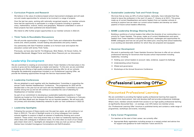#### **Curriculum Projects and Research**

We believe in the value of evidence-based school improvement strategies and will seek out and create opportunities for schools to be involved in a range of projects.

Over the last two years, working with nationally recognised experts, our member schools have had the opportunity to participate in a range of projects including in grammar, oracy, mathematics, science, history and geography. Research undertaken in some of these projects has been published and disseminated.

We intend to offer further project opportunities to our member schools in 2022-23.

#### **Think Tanks & Roundtable Discussions**

We will provide opportunities to engage in Think Tanks and collaborative Roundtable events and, where possible, include leading educationalists and policy makers.

Our partnership with Sam Freedman enables us to horizon-scan and explore the education context with termly Think Tanks.

Previously, we have also had Sir Tim Brighouse, Mick Waters, Sir Kevan Collins, Sir Alasdair Macdonald, Maggie Farrar and Dame Alison Peacock join our discussions.

#### **Leadership Development**

We are committed to creating an environment where Tower Hamlets is the best place in the country to grow and be challenged as a leader and teacher. To this end, we are committed to designing and offering a high-quality professional learning offer for all our schools. Alongside the leadership programmes included in our Professional Learning Offer, we provide the following opportunities through the Service Improvement Offer:

#### **Leadership Conferences**

We are delighted to work together with the Headteachers' Committee in supporting the annual Tower Hamlets Headteachers' Conference. The programme for 2022 will be decided later in the year but we will work with the Headteachers' Committee to provide another strong line-up and we will continue to subsidise the cost of attending for Headteachers of member schools.

As part of our commitment to developing a sustainable leadership pipeline in Tower Hamlets we hosted our first Assistant and Deputy Headteachers' Conference in February 2022 with Mary Myatt and Jaz Ampaw-Farr as our keynote speakers. We will work with our primary and secondary leadership networks to plan our next conference in 2022-23.

#### **Leadership Spotlights**

 $\star$  Appropriate Body registration including access to a named contact and advice line for support and guidance for both Induction Tutors and ECTs

Following the success of these events over the past two years, we will continue to run them in 2022-23. The aim of Spotlight events is to bring colleagues from member schools together to explore in-depth an element of leadership thinking and current research. These online, hour-long events help us to feed our leadership learning and share ideas with colleagues in breakout rooms. At a time when so much of our energy gets drawn down and in, Spotlights are designed to help you look up and out. Recent themes have included Courageous Conversations and Self-Evaluation.

#### **Sustainable Leadership Task and Finish Group**

We know that as many as 40% of school leaders, nationally, have indicated that they intend to leave the profession in the next 3-5 years (*T. Greany et al 2021*). This group, made up of current Headteachers and senior leaders from our member schools is working to explore how we retain our current school leaders and develop our talent pipeline of future school leaders effectively.

#### **BAME Leadership Strategy Steering Group**

Building a workforce of school leaders that reflect the diversity of our communities is a priority for Tower Hamlets. This group, made up of current Headteachers and senior leaders from Tower Hamlets is exploring the barriers, challenges and opportunities for BAME colleagues and how we can grow this talent pool, ensuring that school leadership is an exciting and desirable ambition for which they are prepared and equipped.

#### **Governor Development**

We work in partnership with Tower Hamlets Governor Services to offer all our schools professional learning for Governors that focuses school improvement including leadership, including:

- Holding your school leaders to account: data, evidence, support & challenge
- Understanding school finances
- $\star$  Ofsted and governance
- Workshops at the Annual Governors Conference



### **Discounted Professional Learning**

We are committed to providing the highest quality professional learning that supports schools to drive improvement, train and develop staff and provide professional challenge. What's more, member schools benefit from access to our high-quality professional learning at significantly discounted fees – on average, over 40% below non-member prices. Our 'Professional Learning Offer' brochure is published termly and contains a wide range of programmes, workshops and events, including:

#### **Early Career Programmes**

For teachers at the start of their career, we currently offer: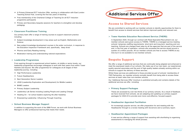- A Primary Enhanced ECT Induction Offer, working in collaboration with East London Teaching School Hub, covering the first two years of teaching
- Free membership of the Chartered College of Teaching for all ECT Induction programme participants
- Primary and Secondary bespoke sessions for teachers to strengthen and develop pedagogy

- Subject knowledge development in key areas such as English, Mathematics and Science
- New subject knowledge development courses in the wider curriculum, in response to the Education Inspection Framework and, specifically, 'deep dives'
- $\star$  Phonics and Early Reading training
- $\star$  Moderation training and understanding national expectations

#### **Classroom Practitioner Training**

Our primary team offer a range of training courses to support classroom practice including:

- $\star$  High Performance Leadership
- $\star$  Future Headteachers
- $\star$  Next Generation Senior Leaders
- LEAD (Leadership Exploration and Development) for Middle Leaders
- $\star$  BAME Leaders
- $\star$  Primary Subject Leadership
- Leadership Lab Series including Leading People and Leading Change
- $\star$  Heading On for school leaders exploring life after headship
- Empowering Leadership: Influencing Through Coaching

#### **Leadership Programmes**

From aspiring through to experienced school leaders, at middle or senior levels, our leadership programmes encourage colleagues to work with their peers from within Tower Hamlets and beyond. We offer programmes for colleagues at all stages of their leadership journey, including:

#### **School Business Manager Support**

In addition to supporting the work of the SBM Forum, we work with School Business Managers to offer professional learning that meets their needs.



### **Access to Shared Services**

We are committed to working with our member schools to identify opportunities for them to benefit from access to shared services that deliver improved quality and reduced cost.

#### **Tower Hamlets Education Recruitment Service (THERS)**

In September 2020, through our contract with Reed Specialist Recruitment Ltd, our member schools were given access to THERS. THERS is a managed service meeting schools' temporary staffing requirements: short-term and long-term, teaching and nonteaching. Schools are charged fixed rates by all the agencies that are part of the service and, in the first year of operation, schools who accessed the service saved around a quarter of a million pounds. All our member schools are free to access THERS at any time but it is not available to non-member schools.

### **Bespoke Support**

We offer a range of additional services that are continually being adapted and enhanced to meet the expressed needs of our schools. We make use of our own team, our experienced, quality assured associates and the pool of high-quality leaders already working within our schools to support the delivery of these services.

Whilst these services are additional to those provided as part of schools' membership of THE Partnership, our member schools normally benefit from being able to access these services at lower rates than non-member schools.

Our 'Additional Services Offer' brochure is published annually and contains details of the additional services we offer, including:

#### **Primary Support Packages**

These are accessed by over two-thirds of our primary schools. As a result of feedback, we have received from schools, we are adapting and updating our primary support packages for 2022-23 to provide even more cost-effective, focused support.

#### **Headteacher Appraisal Facilitation**

An increasingly popular service, we offer preparation for and meeting with the Headteacher through to a review meeting with Governors and a summary report.

#### **Headteacher Appointment Packages**

A new service offering a range of support from assisting with shortlisting to organising assessments to managing the whole process.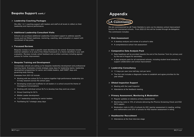$\star$  Data headlines will be provided towards the end of the Summer Term for primary and

### **Bespoke Support cont./**

#### **Leadership Coaching Packages**

We offer 1-2-1 coaching support with leaders and staff at all levels to reflect on their leadership and improve performance.

#### **Additional Leadership Consultant Visits**

Schools can purchase additional Leadership Consultant support to address specific issues such as Ofsted readiness, mentoring, coaching, data evaluation or support with recruitment of key posts.

#### **Focussed Reviews**

- Working with two school SLTs to explore together high-performance leadership (six 0.5-day sessions across the school year)
- $\star$  Developing scripts and scaffolds for all leaders in a school around the theme of Courageous Conversations
- Working with individual school SLTs to develop how they work as a team
- ★ Group Coaching for SLTs
- $\star$  Middle Leader development
- $\star$  1-2-1 leadership coaching for senior leaders
- $\star$  Facilitating SLT strategic away days

Bespoke reviews to meet a specific need identified by the school. Examples include external validation of an area of the Ofsted framework or a theme identified in your selfevaluation. Reviews include verbal feedback and a written summary including agreed actions for further improvement.

#### **Bespoke Training and Development**

Increasingly schools are asking us for bespoke leadership development and professional learning inputs. Examples include strategic away days for leadership teams, leadership development programmes for senior and middle leaders, staff INSET days and governing body training.

Examples from 2021-22 include:

- $\star$  1.5 days per year (one half-day visit per term)
- $\star$  The first visit includes a diagnostic review to establish and agree priorities for the year ahead

- $\star$  Regular updates on statutory primary assessments
- SATs papers
- Moderation visits to 25% of schools for KS1 teacher assessment in reading, writing and mathematics and 25% of schools for KS2 teacher assessment in witing





We are commissioned by LB Tower Hamlets to carry out its statutory school improvement function for maintained schools. From 2022-23 this will be funded through de-delegation. The commission includes:

#### **Risk Assessment**

- $\star$  A desktop analysis and review of a school's data
- $\star$  A comprehensive school risk assessment

#### **Comparative Data Analysis Pack**

- by the end of August for secondary
- $\star$  A data analysis pack for all maintained schools, including student level analysis, to support collaboration and school improvement

#### **Leadership Consultancy**

#### **Ofsted Inspection Support**

- ★ Meeting with the Lead Inspector
- $\star$  Attendance at the feedback meeting

#### **Primary Assessment, Monitoring & Moderation**

Monitoring visits to 10% of schools delivering the Phonics Screening Check and KS2

#### **Headteacher Recruitment**

 $\star$  Attendance at the final interview stage